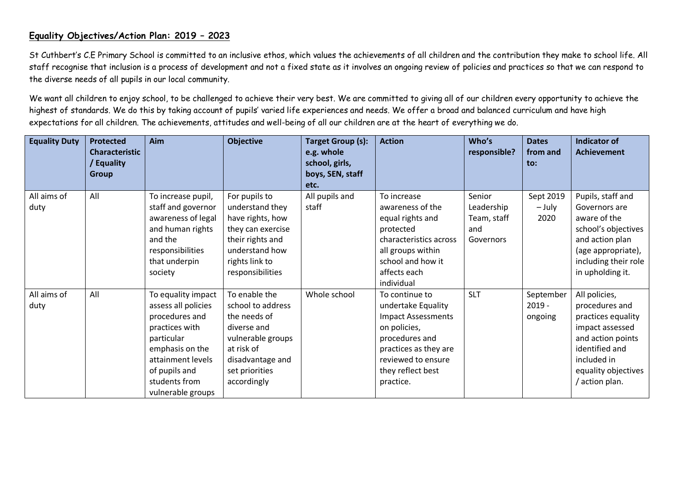## **Equality Objectives/Action Plan: 2019 – 2023**

St Cuthbert's C.E Primary School is committed to an inclusive ethos, which values the achievements of all children and the contribution they make to school life. All staff recognise that inclusion is a process of development and not a fixed state as it involves an ongoing review of policies and practices so that we can respond to the diverse needs of all pupils in our local community.

We want all children to enjoy school, to be challenged to achieve their very best. We are committed to giving all of our children every opportunity to achieve the highest of standards. We do this by taking account of pupils' varied life experiences and needs. We offer a broad and balanced curriculum and have high expectations for all children. The achievements, attitudes and well-being of all our children are at the heart of everything we do.

| <b>Equality Duty</b> | <b>Protected</b>      | Aim                 | <b>Objective</b>  | <b>Target Group (s):</b> | <b>Action</b>             | Who's        | <b>Dates</b> | <b>Indicator of</b>  |
|----------------------|-----------------------|---------------------|-------------------|--------------------------|---------------------------|--------------|--------------|----------------------|
|                      | <b>Characteristic</b> |                     |                   | e.g. whole               |                           | responsible? | from and     | <b>Achievement</b>   |
|                      | Equality              |                     |                   | school, girls,           |                           |              | to:          |                      |
|                      | <b>Group</b>          |                     |                   | boys, SEN, staff         |                           |              |              |                      |
|                      |                       |                     |                   | etc.                     |                           |              |              |                      |
| All aims of          | All                   | To increase pupil,  | For pupils to     | All pupils and           | To increase               | Senior       | Sept 2019    | Pupils, staff and    |
| duty                 |                       | staff and governor  | understand they   | staff                    | awareness of the          | Leadership   | – July       | Governors are        |
|                      |                       | awareness of legal  | have rights, how  |                          | equal rights and          | Team, staff  | 2020         | aware of the         |
|                      |                       | and human rights    | they can exercise |                          | protected                 | and          |              | school's objectives  |
|                      |                       | and the             | their rights and  |                          | characteristics across    | Governors    |              | and action plan      |
|                      |                       | responsibilities    | understand how    |                          | all groups within         |              |              | (age appropriate),   |
|                      |                       | that underpin       | rights link to    |                          | school and how it         |              |              | including their role |
|                      |                       | society             | responsibilities  |                          | affects each              |              |              | in upholding it.     |
|                      |                       |                     |                   |                          | individual                |              |              |                      |
| All aims of          | All                   | To equality impact  | To enable the     | Whole school             | To continue to            | <b>SLT</b>   | September    | All policies,        |
| duty                 |                       | assess all policies | school to address |                          | undertake Equality        |              | $2019 -$     | procedures and       |
|                      |                       | procedures and      | the needs of      |                          | <b>Impact Assessments</b> |              | ongoing      | practices equality   |
|                      |                       | practices with      | diverse and       |                          | on policies,              |              |              | impact assessed      |
|                      |                       | particular          | vulnerable groups |                          | procedures and            |              |              | and action points    |
|                      |                       | emphasis on the     | at risk of        |                          | practices as they are     |              |              | identified and       |
|                      |                       | attainment levels   | disadvantage and  |                          | reviewed to ensure        |              |              | included in          |
|                      |                       | of pupils and       | set priorities    |                          | they reflect best         |              |              | equality objectives  |
|                      |                       | students from       | accordingly       |                          | practice.                 |              |              | / action plan.       |
|                      |                       | vulnerable groups   |                   |                          |                           |              |              |                      |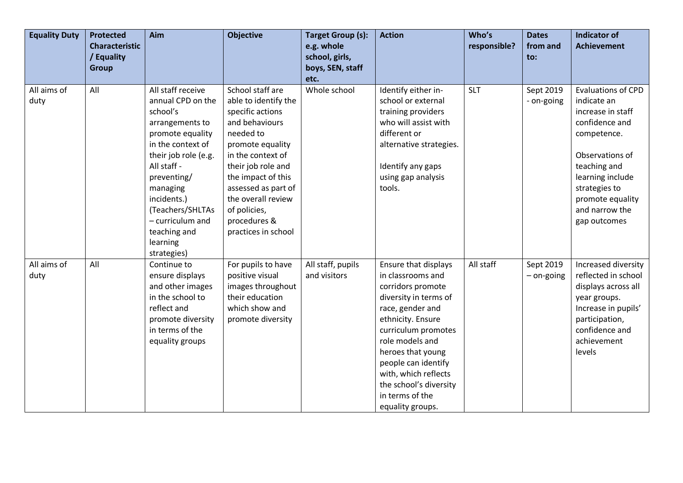| <b>Equality Duty</b> | <b>Protected</b><br><b>Characteristic</b><br>/ Equality<br><b>Group</b> | Aim                                                                                                                                                                                                                                                                                | <b>Objective</b>                                                                                                                                                                                                                                                                     | <b>Target Group (s):</b><br>e.g. whole<br>school, girls,<br>boys, SEN, staff<br>etc. | <b>Action</b>                                                                                                                                                                                                                                                                                                          | Who's<br>responsible? | <b>Dates</b><br>from and<br>$\mathsf{to}$ : | <b>Indicator of</b><br><b>Achievement</b>                                                                                                                                                                                    |
|----------------------|-------------------------------------------------------------------------|------------------------------------------------------------------------------------------------------------------------------------------------------------------------------------------------------------------------------------------------------------------------------------|--------------------------------------------------------------------------------------------------------------------------------------------------------------------------------------------------------------------------------------------------------------------------------------|--------------------------------------------------------------------------------------|------------------------------------------------------------------------------------------------------------------------------------------------------------------------------------------------------------------------------------------------------------------------------------------------------------------------|-----------------------|---------------------------------------------|------------------------------------------------------------------------------------------------------------------------------------------------------------------------------------------------------------------------------|
| All aims of<br>duty  | All                                                                     | All staff receive<br>annual CPD on the<br>school's<br>arrangements to<br>promote equality<br>in the context of<br>their job role (e.g.<br>All staff -<br>preventing/<br>managing<br>incidents.)<br>(Teachers/SHLTAs<br>- curriculum and<br>teaching and<br>learning<br>strategies) | School staff are<br>able to identify the<br>specific actions<br>and behaviours<br>needed to<br>promote equality<br>in the context of<br>their job role and<br>the impact of this<br>assessed as part of<br>the overall review<br>of policies,<br>procedures &<br>practices in school | Whole school                                                                         | Identify either in-<br>school or external<br>training providers<br>who will assist with<br>different or<br>alternative strategies.<br>Identify any gaps<br>using gap analysis<br>tools.                                                                                                                                | <b>SLT</b>            | Sept 2019<br>- on-going                     | <b>Evaluations of CPD</b><br>indicate an<br>increase in staff<br>confidence and<br>competence.<br>Observations of<br>teaching and<br>learning include<br>strategies to<br>promote equality<br>and narrow the<br>gap outcomes |
| All aims of<br>duty  | All                                                                     | Continue to<br>ensure displays<br>and other images<br>in the school to<br>reflect and<br>promote diversity<br>in terms of the<br>equality groups                                                                                                                                   | For pupils to have<br>positive visual<br>images throughout<br>their education<br>which show and<br>promote diversity                                                                                                                                                                 | All staff, pupils<br>and visitors                                                    | <b>Ensure that displays</b><br>in classrooms and<br>corridors promote<br>diversity in terms of<br>race, gender and<br>ethnicity. Ensure<br>curriculum promotes<br>role models and<br>heroes that young<br>people can identify<br>with, which reflects<br>the school's diversity<br>in terms of the<br>equality groups. | All staff             | Sept 2019<br>- on-going                     | Increased diversity<br>reflected in school<br>displays across all<br>year groups.<br>Increase in pupils'<br>participation,<br>confidence and<br>achievement<br>levels                                                        |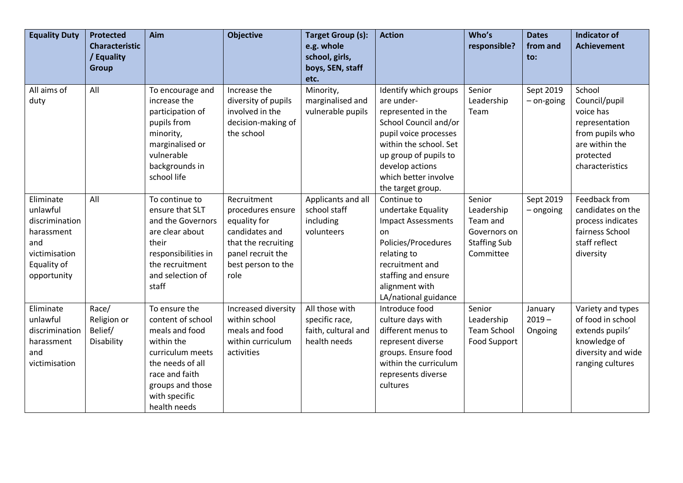| <b>Equality Duty</b>                                                                                        | <b>Protected</b><br><b>Characteristic</b><br>/ Equality<br><b>Group</b> | Aim                                                                                                                                                                               | <b>Objective</b>                                                                                                                             | <b>Target Group (s):</b><br>e.g. whole<br>school, girls,<br>boys, SEN, staff<br>etc. | <b>Action</b>                                                                                                                                                                                                                  | Who's<br>responsible?                                                                | <b>Dates</b><br>from and<br>to: | <b>Indicator of</b><br><b>Achievement</b>                                                                                   |
|-------------------------------------------------------------------------------------------------------------|-------------------------------------------------------------------------|-----------------------------------------------------------------------------------------------------------------------------------------------------------------------------------|----------------------------------------------------------------------------------------------------------------------------------------------|--------------------------------------------------------------------------------------|--------------------------------------------------------------------------------------------------------------------------------------------------------------------------------------------------------------------------------|--------------------------------------------------------------------------------------|---------------------------------|-----------------------------------------------------------------------------------------------------------------------------|
| All aims of<br>duty                                                                                         | All                                                                     | To encourage and<br>increase the<br>participation of<br>pupils from<br>minority,<br>marginalised or<br>vulnerable<br>backgrounds in<br>school life                                | Increase the<br>diversity of pupils<br>involved in the<br>decision-making of<br>the school                                                   | Minority,<br>marginalised and<br>vulnerable pupils                                   | Identify which groups<br>are under-<br>represented in the<br>School Council and/or<br>pupil voice processes<br>within the school. Set<br>up group of pupils to<br>develop actions<br>which better involve<br>the target group. | Senior<br>Leadership<br>Team                                                         | Sept 2019<br>- on-going         | School<br>Council/pupil<br>voice has<br>representation<br>from pupils who<br>are within the<br>protected<br>characteristics |
| Eliminate<br>unlawful<br>discrimination<br>harassment<br>and<br>victimisation<br>Equality of<br>opportunity | All                                                                     | To continue to<br>ensure that SLT<br>and the Governors<br>are clear about<br>their<br>responsibilities in<br>the recruitment<br>and selection of<br>staff                         | Recruitment<br>procedures ensure<br>equality for<br>candidates and<br>that the recruiting<br>panel recruit the<br>best person to the<br>role | Applicants and all<br>school staff<br>including<br>volunteers                        | Continue to<br>undertake Equality<br><b>Impact Assessments</b><br>on<br>Policies/Procedures<br>relating to<br>recruitment and<br>staffing and ensure<br>alignment with<br>LA/national guidance                                 | Senior<br>Leadership<br>Team and<br>Governors on<br><b>Staffing Sub</b><br>Committee | Sept 2019<br>- ongoing          | Feedback from<br>candidates on the<br>process indicates<br>fairness School<br>staff reflect<br>diversity                    |
| Eliminate<br>unlawful<br>discrimination<br>harassment<br>and<br>victimisation                               | Race/<br>Religion or<br>Belief/<br>Disability                           | To ensure the<br>content of school<br>meals and food<br>within the<br>curriculum meets<br>the needs of all<br>race and faith<br>groups and those<br>with specific<br>health needs | Increased diversity<br>within school<br>meals and food<br>within curriculum<br>activities                                                    | All those with<br>specific race,<br>faith, cultural and<br>health needs              | Introduce food<br>culture days with<br>different menus to<br>represent diverse<br>groups. Ensure food<br>within the curriculum<br>represents diverse<br>cultures                                                               | Senior<br>Leadership<br><b>Team School</b><br>Food Support                           | January<br>$2019 -$<br>Ongoing  | Variety and types<br>of food in school<br>extends pupils'<br>knowledge of<br>diversity and wide<br>ranging cultures         |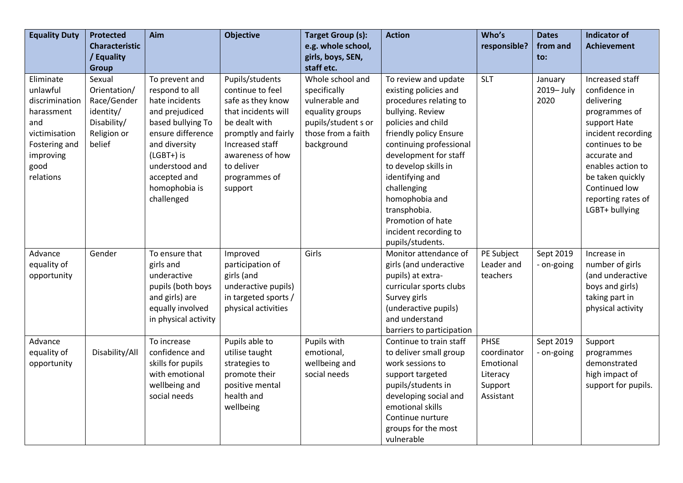| <b>Equality Duty</b>                                                                                                             | <b>Protected</b>                                                                           | Aim                                                                                                                                                                                                            | <b>Objective</b>                                                                                                                                                                                         | <b>Target Group (s):</b>                                                                                                         | <b>Action</b>                                                                                                                                                                                                                                                                                                                                                 | Who's                                                                | <b>Dates</b>                 | <b>Indicator of</b>                                                                                                                                                                                                                        |
|----------------------------------------------------------------------------------------------------------------------------------|--------------------------------------------------------------------------------------------|----------------------------------------------------------------------------------------------------------------------------------------------------------------------------------------------------------------|----------------------------------------------------------------------------------------------------------------------------------------------------------------------------------------------------------|----------------------------------------------------------------------------------------------------------------------------------|---------------------------------------------------------------------------------------------------------------------------------------------------------------------------------------------------------------------------------------------------------------------------------------------------------------------------------------------------------------|----------------------------------------------------------------------|------------------------------|--------------------------------------------------------------------------------------------------------------------------------------------------------------------------------------------------------------------------------------------|
|                                                                                                                                  | <b>Characteristic</b>                                                                      |                                                                                                                                                                                                                |                                                                                                                                                                                                          | e.g. whole school,                                                                                                               |                                                                                                                                                                                                                                                                                                                                                               | responsible?                                                         | from and                     | <b>Achievement</b>                                                                                                                                                                                                                         |
|                                                                                                                                  | / Equality<br><b>Group</b>                                                                 |                                                                                                                                                                                                                |                                                                                                                                                                                                          | girls, boys, SEN,<br>staff etc.                                                                                                  |                                                                                                                                                                                                                                                                                                                                                               |                                                                      | to:                          |                                                                                                                                                                                                                                            |
| Eliminate<br>unlawful<br>discrimination<br>harassment<br>and<br>victimisation<br>Fostering and<br>improving<br>good<br>relations | Sexual<br>Orientation/<br>Race/Gender<br>identity/<br>Disability/<br>Religion or<br>belief | To prevent and<br>respond to all<br>hate incidents<br>and prejudiced<br>based bullying To<br>ensure difference<br>and diversity<br>(LGBT+) is<br>understood and<br>accepted and<br>homophobia is<br>challenged | Pupils/students<br>continue to feel<br>safe as they know<br>that incidents will<br>be dealt with<br>promptly and fairly<br>Increased staff<br>awareness of how<br>to deliver<br>programmes of<br>support | Whole school and<br>specifically<br>vulnerable and<br>equality groups<br>pupils/student s or<br>those from a faith<br>background | To review and update<br>existing policies and<br>procedures relating to<br>bullying. Review<br>policies and child<br>friendly policy Ensure<br>continuing professional<br>development for staff<br>to develop skills in<br>identifying and<br>challenging<br>homophobia and<br>transphobia.<br>Promotion of hate<br>incident recording to<br>pupils/students. | <b>SLT</b>                                                           | January<br>2019-July<br>2020 | Increased staff<br>confidence in<br>delivering<br>programmes of<br>support Hate<br>incident recording<br>continues to be<br>accurate and<br>enables action to<br>be taken quickly<br>Continued low<br>reporting rates of<br>LGBT+ bullying |
| Advance<br>equality of<br>opportunity                                                                                            | Gender                                                                                     | To ensure that<br>girls and<br>underactive<br>pupils (both boys<br>and girls) are<br>equally involved<br>in physical activity                                                                                  | Improved<br>participation of<br>girls (and<br>underactive pupils)<br>in targeted sports /<br>physical activities                                                                                         | Girls                                                                                                                            | Monitor attendance of<br>girls (and underactive<br>pupils) at extra-<br>curricular sports clubs<br>Survey girls<br>(underactive pupils)<br>and understand<br>barriers to participation                                                                                                                                                                        | PE Subject<br>Leader and<br>teachers                                 | Sept 2019<br>- on-going      | Increase in<br>number of girls<br>(and underactive<br>boys and girls)<br>taking part in<br>physical activity                                                                                                                               |
| Advance<br>equality of<br>opportunity                                                                                            | Disability/All                                                                             | To increase<br>confidence and<br>skills for pupils<br>with emotional<br>wellbeing and<br>social needs                                                                                                          | Pupils able to<br>utilise taught<br>strategies to<br>promote their<br>positive mental<br>health and<br>wellbeing                                                                                         | Pupils with<br>emotional,<br>wellbeing and<br>social needs                                                                       | Continue to train staff<br>to deliver small group<br>work sessions to<br>support targeted<br>pupils/students in<br>developing social and<br>emotional skills<br>Continue nurture<br>groups for the most<br>vulnerable                                                                                                                                         | PHSE<br>coordinator<br>Emotional<br>Literacy<br>Support<br>Assistant | Sept 2019<br>- on-going      | Support<br>programmes<br>demonstrated<br>high impact of<br>support for pupils.                                                                                                                                                             |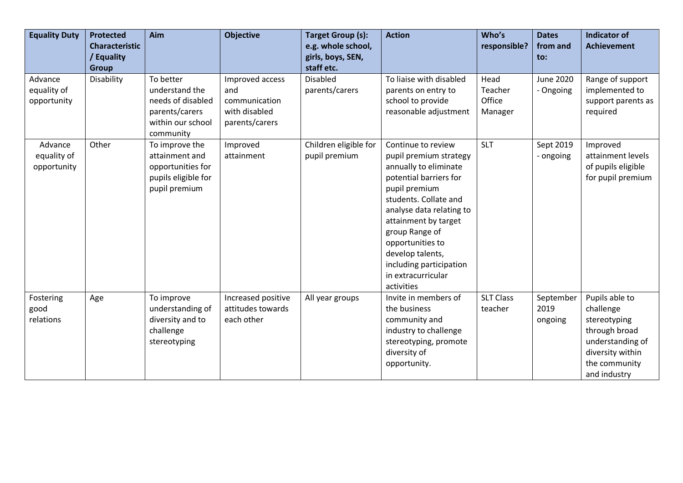| <b>Equality Duty</b>                  | <b>Protected</b><br><b>Characteristic</b><br>/ Equality | Aim                                                                                                  | <b>Objective</b>                                                           | <b>Target Group (s):</b><br>e.g. whole school,<br>girls, boys, SEN, | <b>Action</b>                                                                                                                                                                                                                                                                                                          | Who's<br>responsible?                | <b>Dates</b><br>from and<br>to: | <b>Indicator of</b><br><b>Achievement</b>                                                                                             |
|---------------------------------------|---------------------------------------------------------|------------------------------------------------------------------------------------------------------|----------------------------------------------------------------------------|---------------------------------------------------------------------|------------------------------------------------------------------------------------------------------------------------------------------------------------------------------------------------------------------------------------------------------------------------------------------------------------------------|--------------------------------------|---------------------------------|---------------------------------------------------------------------------------------------------------------------------------------|
|                                       | <b>Group</b>                                            |                                                                                                      |                                                                            | staff etc.                                                          |                                                                                                                                                                                                                                                                                                                        |                                      |                                 |                                                                                                                                       |
| Advance<br>equality of<br>opportunity | Disability                                              | To better<br>understand the<br>needs of disabled<br>parents/carers<br>within our school<br>community | Improved access<br>and<br>communication<br>with disabled<br>parents/carers | <b>Disabled</b><br>parents/carers                                   | To liaise with disabled<br>parents on entry to<br>school to provide<br>reasonable adjustment                                                                                                                                                                                                                           | Head<br>Teacher<br>Office<br>Manager | <b>June 2020</b><br>- Ongoing   | Range of support<br>implemented to<br>support parents as<br>required                                                                  |
| Advance<br>equality of<br>opportunity | Other                                                   | To improve the<br>attainment and<br>opportunities for<br>pupils eligible for<br>pupil premium        | Improved<br>attainment                                                     | Children eligible for<br>pupil premium                              | Continue to review<br>pupil premium strategy<br>annually to eliminate<br>potential barriers for<br>pupil premium<br>students. Collate and<br>analyse data relating to<br>attainment by target<br>group Range of<br>opportunities to<br>develop talents,<br>including participation<br>in extracurricular<br>activities | <b>SLT</b>                           | Sept 2019<br>- ongoing          | Improved<br>attainment levels<br>of pupils eligible<br>for pupil premium                                                              |
| Fostering<br>good<br>relations        | Age                                                     | To improve<br>understanding of<br>diversity and to<br>challenge<br>stereotyping                      | Increased positive<br>attitudes towards<br>each other                      | All year groups                                                     | Invite in members of<br>the business<br>community and<br>industry to challenge<br>stereotyping, promote<br>diversity of<br>opportunity.                                                                                                                                                                                | <b>SLT Class</b><br>teacher          | September<br>2019<br>ongoing    | Pupils able to<br>challenge<br>stereotyping<br>through broad<br>understanding of<br>diversity within<br>the community<br>and industry |